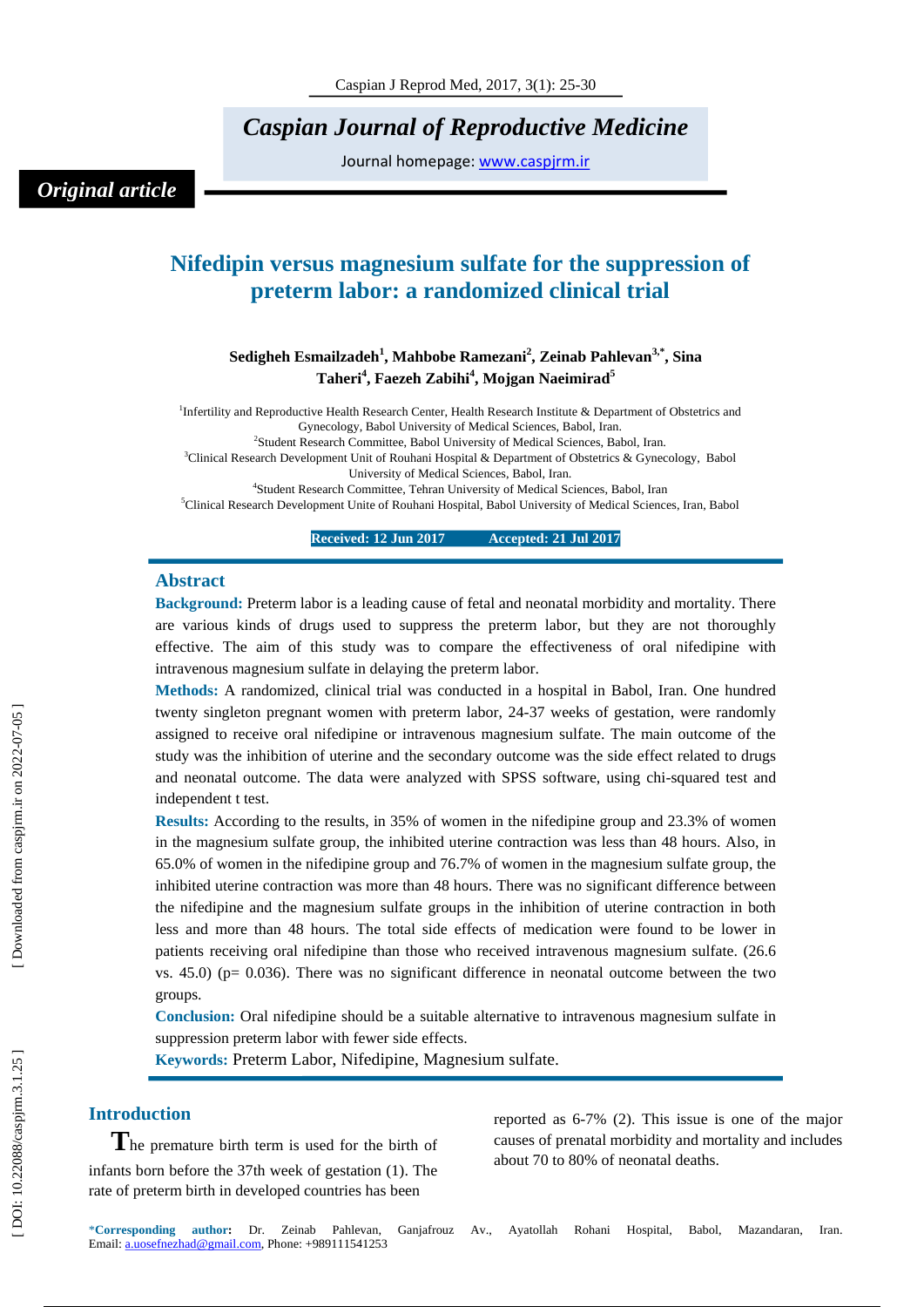*Caspian Journal of Reproductive Medicin e*

Journal homepage: www.caspjrm.ir

## *Original article*

# **Nifedipin versus magnesium sulfate for the suppression of preterm labor: a randomized clinical trial**

## **Sedigheh Esmailzadeh 1 , Mahbobe Ramezani 2 , Zeinab Pahlevan 3 , \* , Sina Taheri 4 , Faezeh Zabihi 4 , Mojgan Naeimirad 5**

<sup>1</sup>Infertility and Reproductive Health Research Center, Health Research Institute & Department of Obstetrics and Gynecology, Babol University of Medical Sciences, Babol, Iran . <sup>2</sup>Student Research Committee, Babol University of Medical Sciences, Babol, Iran. 3 Clinical Research Development Unit of Rouhani Hospital & Department of Obstetrics & Gynecology, Babol University of Medical Sciences, Babol, Iran .

4 Student Research Committee, Tehran University of Medical Sciences, Babol, Iran 5 Clinical Research Development Unite of Rouhani Hospital, Babol University of Medical Sciences, Iran, Babol

> **Received: 12 Jun 201 7 Accepted: 21 Jul 201 7**

#### **Abstract**

**Background:** Preterm labor is a leading cause of fetal and neonatal morbidity and mortality. There are various kinds of drugs used to suppress the preterm labor, but they are not thoroughly effective. The aim of this study was to compare the effectiveness of oral nifedipine with intravenous magnesium sulfate in delaying the preterm labor.

**Methods:** A randomized, clinical trial was conducted in a hospital in Babol, Iran. One hundred twenty singleton pregnant women with preterm labor, 24 -37 weeks of gestation, were randomly assigned to receive oral nifedipine or intravenous magnesium sulfate. The main outcome of the study was the inhibition of uterine and the secondary outcome was the side effect related to drugs and neonatal outcome. The data were analyzed with SPSS software, using chi -squared test and independent t test.

**Results:** According to the results, in 35% of women in the nifedipine group and 23.3% of women in the magnesium sulfate group, the inhibited uterine contraction was less than 48 hours. Also, in 65.0% of women in the nifedipine group and 76.7% of women in the magnesium sulfate group, the inhibited uterine contraction was more than 48 hours. There was no significant difference between the nifedipine and the magnesium sulfate groups in the inhibition of uterine contraction in both less and more than 48 hours. The total side effects of medication were found to be lower in patients receiving oral nifedipine than those who received intravenous magnesium sulfate. (26.6 vs.  $45.0$ ) (p= 0.036). There was no significant difference in neonatal outcome between the two groups.

**Conclusion:** Oral nifedipine should be a suitable alternative to intravenous magnesium sulfate in suppression preterm labor with fewer side effects.

**Keywords:** Preterm Labor, Nifedipine, Magnesium sulfate.

## **Introduction**

**T**he premature birth term is used for the birth of infants born before the 37th week of gestation (1). The rate of preterm birth in developed countries has been

reported as 6 -7% (2). This issue is one of the major causes of prenatal morbidity and mortality and includes about 70 to 80% of neonatal deaths.

\* **Corresponding author :** Dr. Zeinab Pahlevan, Ganjafrouz Av., Ayatollah Rohani Hospital, Babol, Mazandaran , Iran. Email: a.uosefnezhad@gmail.com, Phone: +989111541253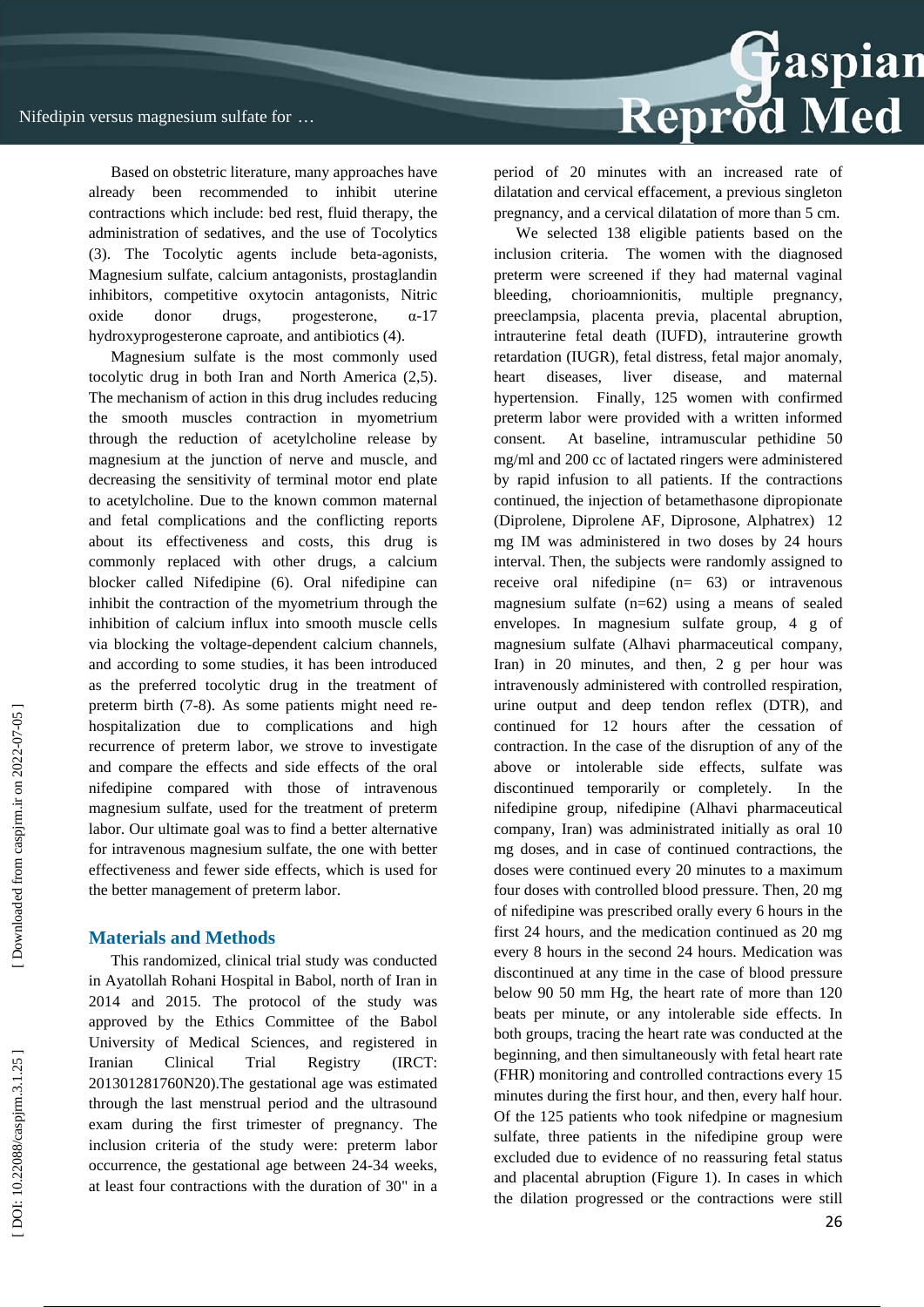

Based on obstetric literature, many approaches have already been recommended to inhibit uterine contractions which include: bed rest, fluid therapy, the administration of sedatives, and the use of Tocolytics (3). The Tocolytic agents include beta -agonists, Magnesium sulfate, calcium antagonists, prostaglandin inhibitors, competitive oxytocin antagonists, Nitric oxide donor drugs, progesterone,  $\alpha$ -17 hydroxyprogesterone caproate, and antibiotics (4).

Magnesium sulfate is the most commonly used tocolytic drug in both Iran and North America (2,5). The mechanism of action in this drug includes reducing the smooth muscles contraction in myometrium through the reduction of acetylcholine release by magnesium at the junction of nerve and muscle, and decreasing the sensitivity of terminal motor end plate to acetylcholine. Due to the known common maternal and fetal complications and the conflicting reports about its effectiveness and costs, this drug is commonly replaced with other drugs, a calcium blocker called Nifedipine (6). Oral nifedipine can inhibit the contraction of the myometrium through the inhibition of calcium influx into smooth muscle cells via blocking the voltage -dependent calcium channels, and according to some studies, it has been introduced as the preferred tocolytic drug in the treatment of preterm birth (7-8). As some patients might need rehospitalization due to complications and high recurrence of preterm labor, we strove to investigate and compare the effects and side effects of the oral nifedipine compared with those of intravenous magnesium sulfate, used for the treatment of preterm labor. Our ultimate goal was to find a better alternative for intravenous magnesium sulfate, the one with better effectiveness and fewer side effects, which is used for the better management of preterm labor.

## **Materials and Methods**

This randomized, clinical trial study was conducted in Ayatollah Rohani Hospital in Babol, north of Iran in 2014 and 2015. The protocol of the study was approved by the Ethics Committee of the Babol University of Medical Sciences, and registered in Iranian Clinical Trial Registry (IRCT: 201301281760N20).The gestational age was estimated through the last menstrual period and the ultrasound exam during the first trimester of pregnancy. The inclusion criteria of the study were: preterm labor occurrence, the gestational age between 24 -34 weeks, at least four contractions with the duration of 30" in a

period of 20 minutes with an increased rate of dilatation and cervical effacement, a previous singleton pregnancy, and a cervical dilatation of more than 5 cm.

We selected 138 eligible patients based on the inclusion criteria. The women with the diagnosed preterm were screened if they had maternal vaginal bleeding, chorioamnionitis, multiple pregnancy, preeclampsia, placenta previa, placental abruption, intrauterine fetal death (IUFD), intrauterine growth retardation (IUGR), fetal distress, fetal major anomaly, heart diseases, liver disease, and maternal hypertension. Finally, 125 women with confirmed preterm labor were provided with a written informed consent. At baseline, intramuscular pethidine 50 mg/ml and 200 cc of lactated ringers were administered by rapid infusion to all patients. If the contractions continued, the injection of betamethasone dipropionate (Diprolene, Diprolene AF, Diprosone, Alphatrex) 12 mg IM was administered in two doses by 24 hours interval. Then, the subjects were randomly assigned to receive oral nifedipine (n= 63) or intravenous magnesium sulfate (n=62) using a means of sealed envelopes. In magnesium sulfate group, 4 g of magnesium sulfate (Alhavi pharmaceutical company, Iran) in 20 minutes, and then, 2 g per hour was intravenously administered with controlled respiration, urine output and deep tendon reflex (DTR), and continued for 12 hours after the cessation of contraction. In the case of the disruption of any of the above or intolerable side effects, sulfate was discontinued temporarily or completely. In the nifedipine group, nifedipine (Alhavi pharmaceutical company, Iran) was administrated initially as oral 10 mg doses, and in case of continued contractions, the doses were continued every 20 minutes to a maximum four doses with controlled blood pressure. Then, 20 mg of nifedipine was prescribed orally every 6 hours in the first 24 hours, and the medication continued as 20 mg every 8 hours in the second 24 hours. Medication was discontinued at any time in the case of blood pressure below 90 50 mm Hg, the heart rate of more than 120 beats per minute, or any intolerable side effects. In both groups, tracing the heart rate was conducted at the beginning, and then simultaneously with fetal heart rate (FHR) monitoring and controlled contractions every 15 minutes during the first hour, and then, every half hour. Of the 125 patients who took nifedpine or magnesium sulfate, three patients in the nifedipine group were excluded due to evidence of no reassuring fetal status and placental abruption (Figure 1). In cases in which the dilation progressed or the contractions were still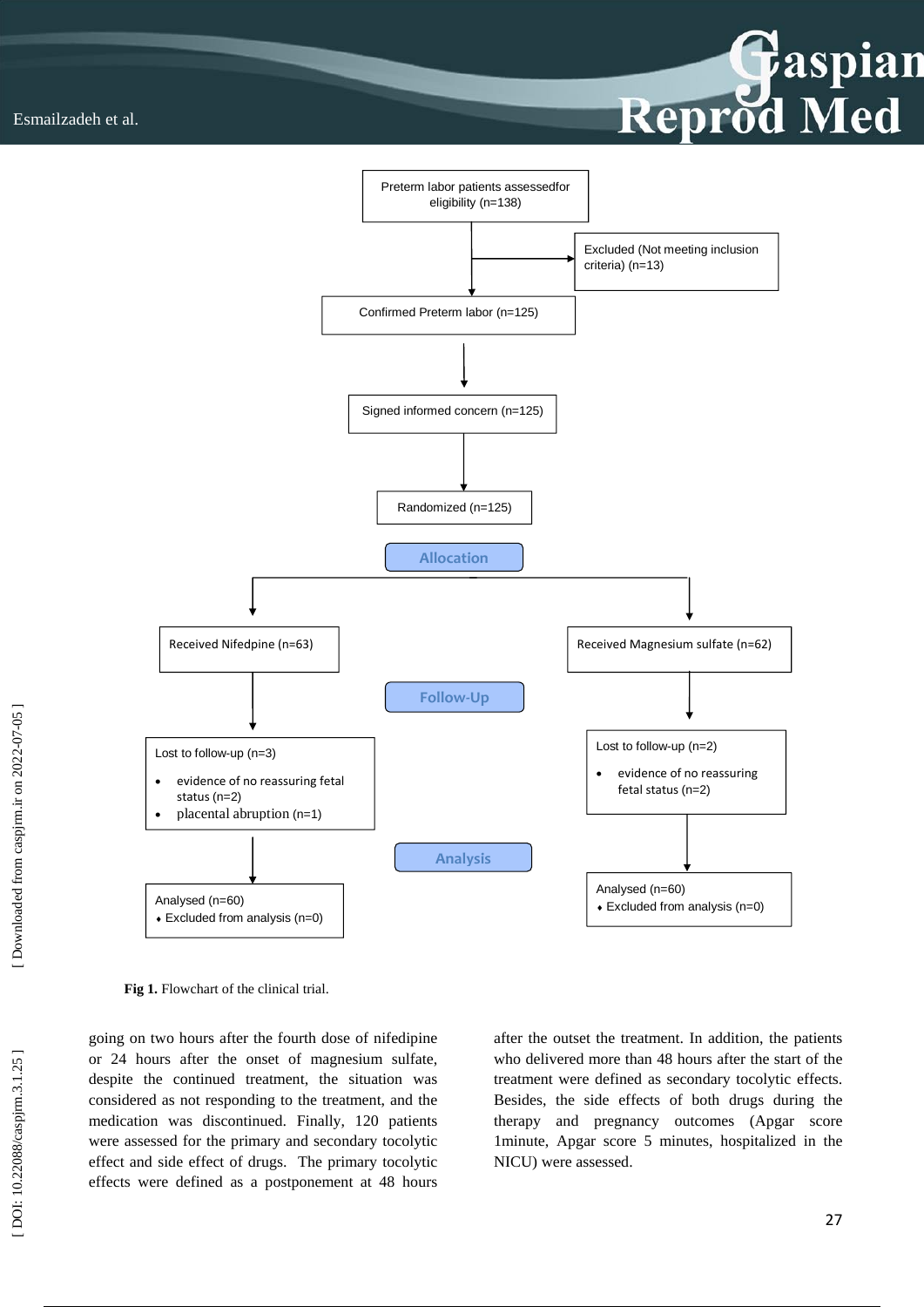



Fig 1. Flowchart of the clinical trial.

going on two hours after the fourth dose of nifedipine or 24 hours after the onset of magnesium sulfate, despite the continued treatment, the situation was considered as not responding to the treatment, and the medication was discontinued. Finally, 120 patients were assessed for the primary and secondary tocolytic effect and side effect of drugs. The primary tocolytic effects were defined as a postponement at 48 hours after the outset the treatment. In addition, the patients who delivered more than 48 hours after the start of the treatment were defined as secondary tocolytic effects. Besides, the side effects of both drugs during the therapy and pregnancy outcomes (Apgar score 1minute, Apgar score 5 minutes, hospitalized in the NICU) were assessed.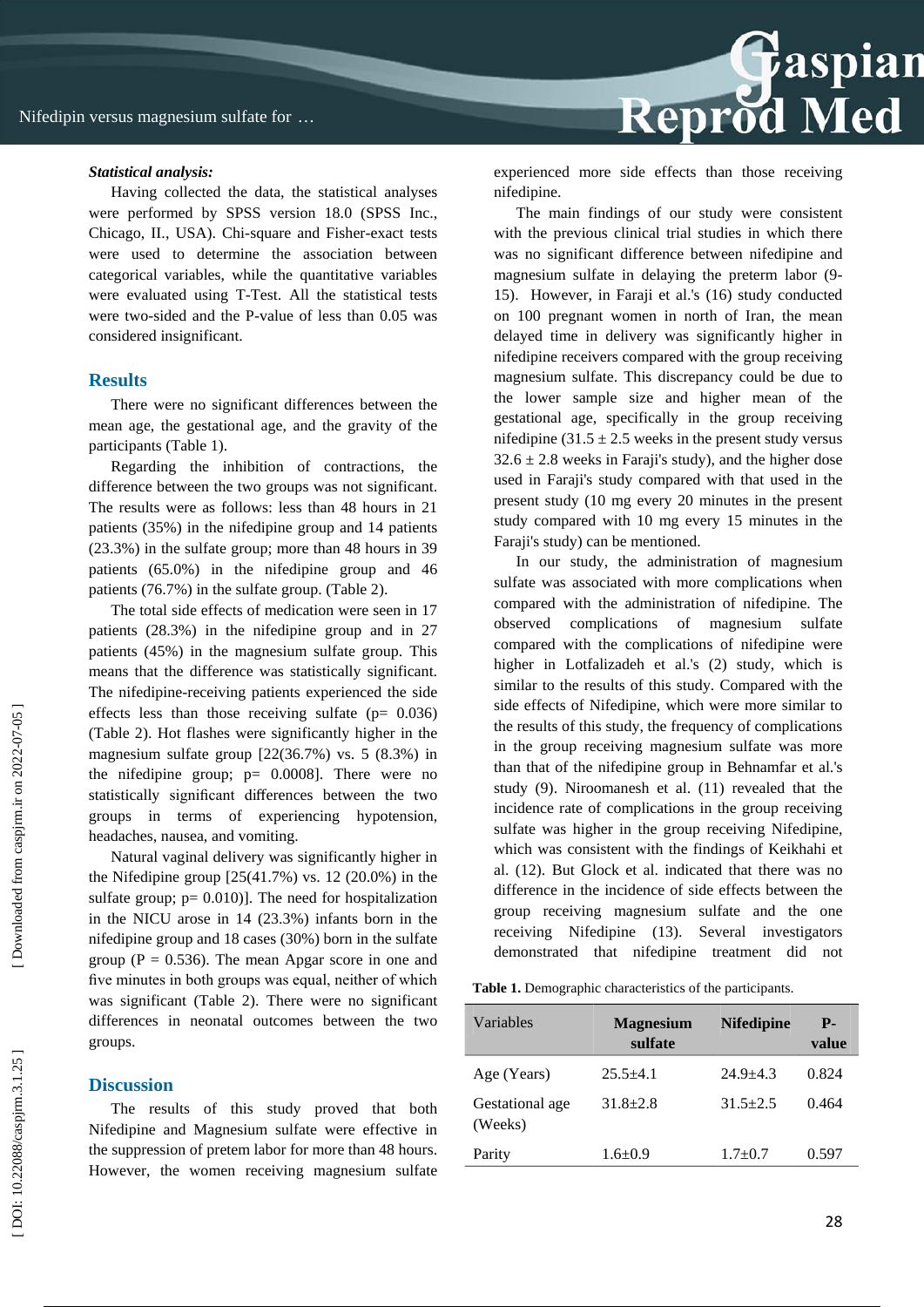#### *Statistical analysis:*

Having collected the data, the statistical analyses were performed by SPSS version 18.0 (SPSS Inc., Chicago, II., USA). Chi -square and Fisher -exact tests were used to determine the association between categorical variables, while the quantitative variables were evaluated using T -Test. All the statistical tests were two -sided and the P -value of less than 0.05 was considered insignificant.

## **Results**

There were no significant differences between the mean age, the gestational age, and the gravity of the participants (Table 1).

Regarding the inhibition of contractions, the difference between the two groups was not significant. The results were as follows: less than 48 hours in 21 patients (35%) in the nifedipine group and 14 patients (23.3%) in the sulfate group; more than 48 hours in 39 patients (65.0%) in the nifedipine group and 46 patients (76.7%) in the sulfate group. (Table 2).

The total side effects of medication were seen in 17 patients (28.3%) in the nifedipine group and in 27 patients (45%) in the magnesium sulfate group. This means that the difference was statistically significant. The nifedipine -receiving patients experienced the side effects less than those receiving sulfate ( $p= 0.036$ ) (Table 2). Hot flashes were significantly higher in the magnesium sulfate group  $[22(36.7\%)$  vs. 5  $(8.3\%)$  in the nifedipine group;  $p= 0.0008$ ]. There were no statistically significant di fferences between the two groups in terms of experiencing hypotension, headaches, nausea, and vomiting.

Natural vaginal delivery was significantly higher in the Nifedipine group  $[25(41.7%)$  vs. 12 (20.0%) in the sulfate group;  $p = 0.010$ ). The need for hospitalization in the NICU arose in 14 (23.3%) infants born in the nifedipine group and 18 cases (30%) born in the sulfate group ( $P = 0.536$ ). The mean Apgar score in one and five minutes in both groups was equal, neither of which was significant (Table 2). There were no significant differences in neonatal outcomes between the two groups .

## **Discussion**

The results of this study proved that both Nifedipine and Magnesium sulfate were effective in the suppression of pretem labor for more than 48 hours. However, the women receiving magnesium sulfate experienced more side effects than those receiving nifedipine.

Reprod Med

The main findings of our study were consistent with the previous clinical trial studies in which there was no significant difference between nifedipine and magnesium sulfate in delaying the preterm labor (9 - 15). However, in Faraji et al.'s (16) study conducted on 100 pregnant women in north of Iran, the mean delayed time in delivery was significantly higher in nifedipine receivers compared with the group receiving magnesium sulfate. This discrepancy could be due to the lower sample size and higher mean of the gestational age, specifically in the group receiving nifedipine (31.5  $\pm$  2.5 weeks in the present study versus  $32.6 \pm 2.8$  weeks in Faraji's study), and the higher dose used in Faraji's study compared with that used in the present study (10 mg every 20 minutes in the present study compared with 10 mg every 15 minutes in the Faraji's study) can be mentioned.

In our study, the administration of magnesium sulfate was associated with more complications when compared with the administration of nifedipine. The observed complications of magnesium sulfate compared with the complications of nifedipine were higher in Lotfalizadeh et al.'s (2) study, which is similar to the results of this study. Compared with the side effects of Nifedipine, which were more similar to the results of this study, the frequency of complications in the group receiving magnesium sulfate was more than that of the nifedipine group in Behnamfar et al.'s study (9). Niroomanesh et al. (11) revealed that the incidence rate of complications in the group receiving sulfate was higher in the group receiving Nifedipine, which was consistent with the findings of Keikhahi et al. (12). But Glock et al. indicated that there was no difference in the incidence of side effects between the group receiving magnesium sulfate and the one receiving Nifedipine (13). Several investigators demonstrated that nifedipine treatment did not

**Table 1.** Demographic characteristics of the participants .

| Variables                  | <b>Magnesium</b><br>sulfate | <b>Nifedipine</b> | <b>P.</b><br>value |
|----------------------------|-----------------------------|-------------------|--------------------|
| Age (Years)                | $25.5 + 4.1$                | $24.9 + 4.3$      | 0.824              |
| Gestational age<br>(Weeks) | $31.8 \pm 2.8$              | $31.5 + 2.5$      | 0.464              |
| Parity                     | $1.6 + 0.9$                 | $1.7+0.7$         | 0.597              |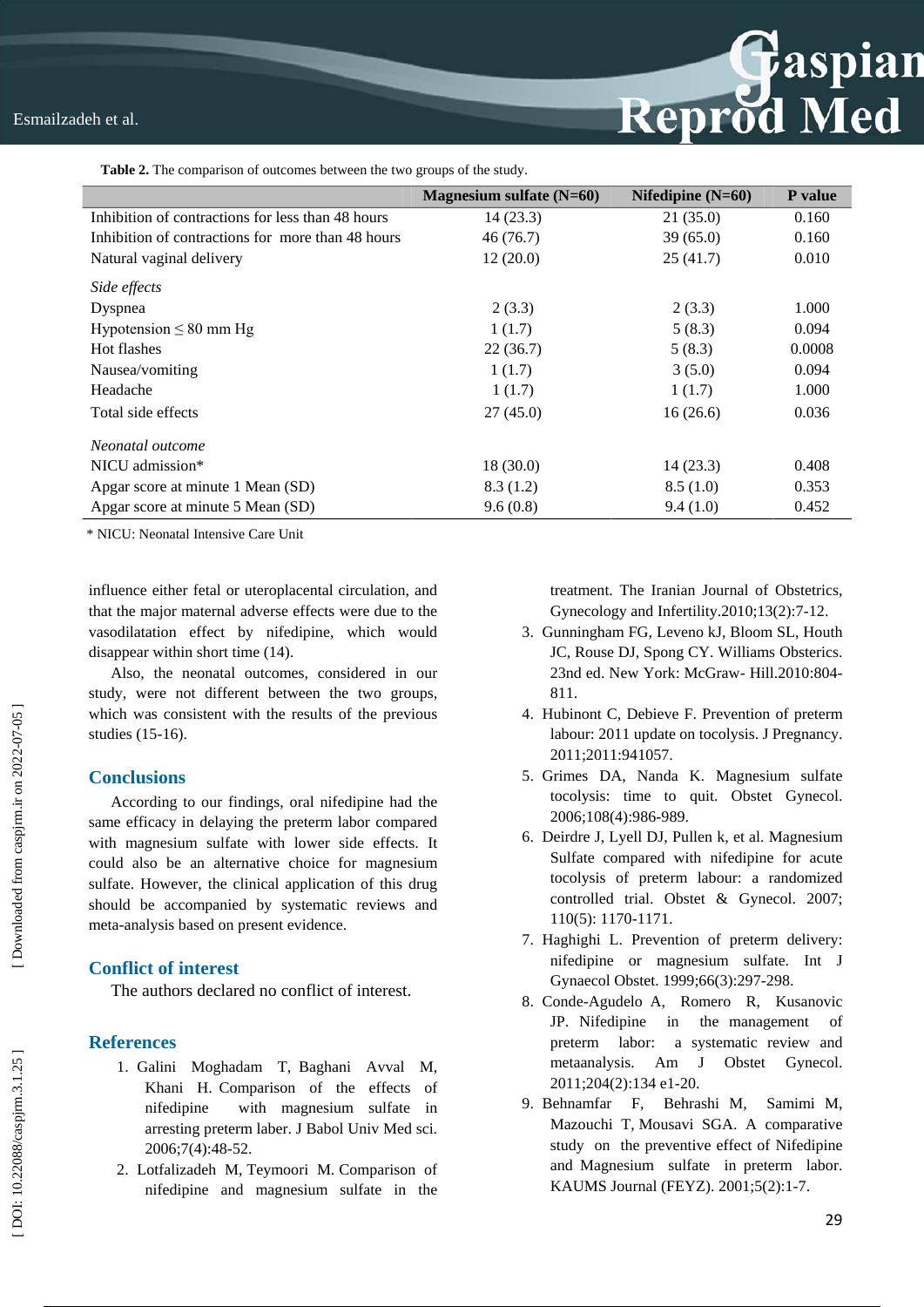**Table 2.** The comparison of outcomes between the two groups of the study .

|                                                   | Magnesium sulfate $(N=60)$ | Nifedipine $(N=60)$ | <b>P</b> value |
|---------------------------------------------------|----------------------------|---------------------|----------------|
| Inhibition of contractions for less than 48 hours | 14(23.3)                   | 21(35.0)            | 0.160          |
| Inhibition of contractions for more than 48 hours | 46(76.7)                   | 39(65.0)            | 0.160          |
| Natural vaginal delivery                          | 12(20.0)                   | 25(41.7)            | 0.010          |
| Side effects                                      |                            |                     |                |
| Dyspnea                                           | 2(3.3)                     | 2(3.3)              | 1.000          |
| Hypotension $\leq 80$ mm Hg                       | 1(1.7)                     | 5(8.3)              | 0.094          |
| Hot flashes                                       | 22(36.7)                   | 5(8.3)              | 0.0008         |
| Nausea/vomiting                                   | 1(1.7)                     | 3(5.0)              | 0.094          |
| Headache                                          | 1(1.7)                     | 1(1.7)              | 1.000          |
| Total side effects                                | 27(45.0)                   | 16(26.6)            | 0.036          |
| Neonatal outcome                                  |                            |                     |                |
| NICU admission*                                   | 18(30.0)                   | 14(23.3)            | 0.408          |
| Apgar score at minute 1 Mean (SD)                 | 8.3(1.2)                   | 8.5(1.0)            | 0.353          |
| Apgar score at minute 5 Mean (SD)                 | 9.6(0.8)                   | 9.4(1.0)            | 0.452          |

\* NICU: Neonatal Intensive Care Unit

influence either fetal or uteroplacental circulation, and that the major maternal adverse effects were due to the vasodilatation effect by nifedipine, which would disappear within short time (14).

Also, the neonatal outcomes, considered in our study, were not different between the two groups, which was consistent with the results of the previous studies (15 -16).

## **Conclusions**

According to our findings, oral nifedipine had the same efficacy in delaying the preterm labor compared with magnesium sulfate with lower side effects. It could also be an alternative choice for magnesium sulfate. However, the clinical application of this drug should be accompanied by systematic reviews and meta -analysis based on present evidence.

## **Conflict of interest**

The authors declared no conflict of interest .

## **References**

- 1. Galini Moghadam T, Baghani Avval M, Khani H. Comparison of the effects of nifedipine with magnesium sulfate in arresting preterm laber. J Babol Univ Med sci. 2006;7(4):48 -52.
- 2 . Lotfalizadeh M, Teymoori M. Comparison of nifedipine and magnesium sulfate in the

treatment. The Iranian Journal of Obstetrics, Gynecology and Infertility.2010;13(2):7 -12.

Reprod Med

- 3 . Gunningham FG, Leveno kJ, Bloom SL, Houth JC, Rouse DJ, Spong CY. Williams Obsterics. 23nd ed. New York: McGraw - Hill.2010:804 - 811.
- 4 . Hubinont C, Debieve F. Prevention of preterm labour: 2011 update on tocolysis. J Pregnancy. 2011;2011:941057.
- 5 . Grimes DA, Nanda K. Magnesium sulfate tocolysis: time to quit. Obstet Gynecol. 2006;108(4):986 -989.
- 6 . Deirdre J, Lyell DJ, Pullen k, et al. Magnesium Sulfate compared with nifedipine for acute tocolysis of preterm labour: a randomized controlled trial. Obstet & Gynecol. 2007; 110(5): 1170 -1171.
- 7 . Haghighi L. Prevention of preterm delivery: nifedipine or magnesium sulfate. Int J Gynaecol Obstet. 1999;66(3):297 -298.
- 8 . Conde -Agudelo A, Romero R, Kusanovic JP. Nifedipine in the management of preterm labor: a systematic review and metaanalysis. Am J Obstet Gynecol. 2011;204(2):134 e1 -20.
- 9 . Behnamfar F, Behrashi M, Samimi M, Mazouchi T, Mousavi SGA. A comparative study on the preventive effect of Nifedipine and Magnesium sulfate in preterm labor. KAUMS Journal (FEYZ). 2001;5(2):1 -7.

[Downloaded from caspjrm.ir on 2022-07-05]